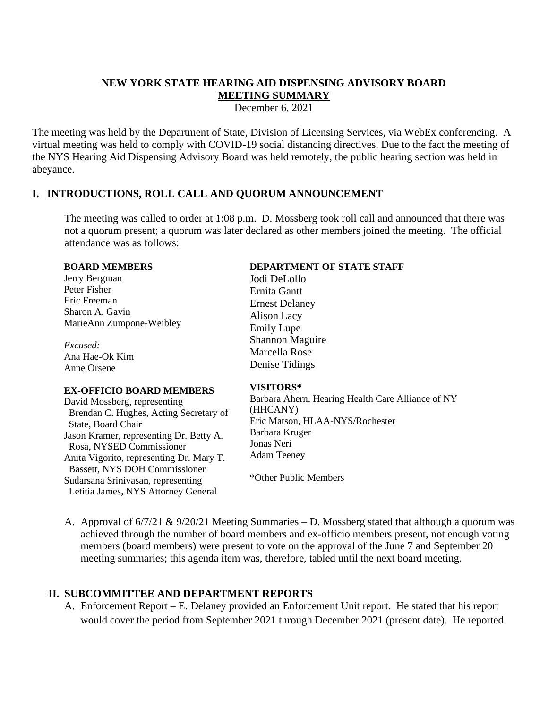# **NEW YORK STATE HEARING AID DISPENSING ADVISORY BOARD MEETING SUMMARY**

December 6, 2021

The meeting was held by the Department of State, Division of Licensing Services, via WebEx conferencing. A virtual meeting was held to comply with COVID-19 social distancing directives. Due to the fact the meeting of the NYS Hearing Aid Dispensing Advisory Board was held remotely, the public hearing section was held in abeyance.

### **I. INTRODUCTIONS, ROLL CALL AND QUORUM ANNOUNCEMENT**

The meeting was called to order at 1:08 p.m. D. Mossberg took roll call and announced that there was not a quorum present; a quorum was later declared as other members joined the meeting. The official attendance was as follows:

#### **BOARD MEMBERS**

Jerry Bergman Peter Fisher Eric Freeman Sharon A. Gavin MarieAnn Zumpone-Weibley

*Excused:* Ana Hae-Ok Kim Anne Orsene

### **EX-OFFICIO BOARD MEMBERS**

David Mossberg, representing Brendan C. Hughes, Acting Secretary of State, Board Chair Jason Kramer, representing Dr. Betty A. Rosa, NYSED Commissioner Anita Vigorito, representing Dr. Mary T. Bassett, NYS DOH Commissioner Sudarsana Srinivasan, representing Letitia James, NYS Attorney General

### **DEPARTMENT OF STATE STAFF**

Jodi DeLollo Ernita Gantt Ernest Delaney Alison Lacy Emily Lupe Shannon Maguire Marcella Rose Denise Tidings

### **VISITORS\***

Barbara Ahern, Hearing Health Care Alliance of NY (HHCANY) Eric Matson, HLAA-NYS/Rochester Barbara Kruger Jonas Neri Adam Teeney

\*Other Public Members

A. Approval of 6/7/21 & 9/20/21 Meeting Summaries – D. Mossberg stated that although a quorum was achieved through the number of board members and ex-officio members present, not enough voting members (board members) were present to vote on the approval of the June 7 and September 20 meeting summaries; this agenda item was, therefore, tabled until the next board meeting.

# **II. SUBCOMMITTEE AND DEPARTMENT REPORTS**

A. Enforcement Report – E. Delaney provided an Enforcement Unit report. He stated that his report would cover the period from September 2021 through December 2021 (present date). He reported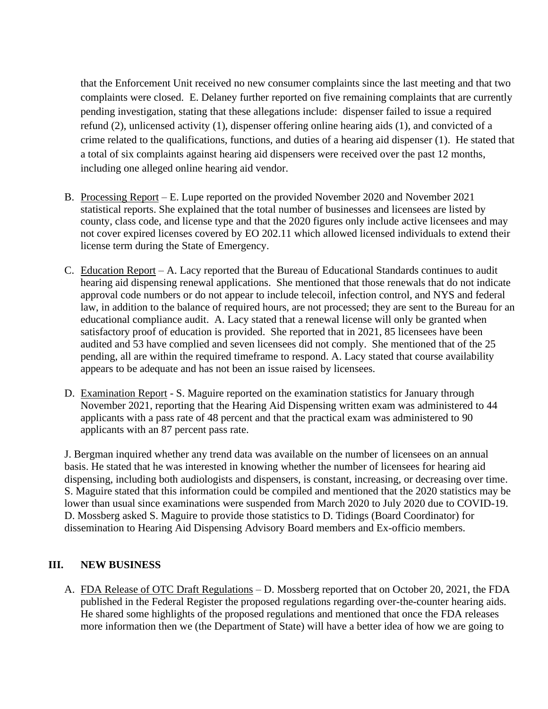that the Enforcement Unit received no new consumer complaints since the last meeting and that two complaints were closed. E. Delaney further reported on five remaining complaints that are currently pending investigation, stating that these allegations include: dispenser failed to issue a required refund (2), unlicensed activity (1), dispenser offering online hearing aids (1), and convicted of a crime related to the qualifications, functions, and duties of a hearing aid dispenser (1). He stated that a total of six complaints against hearing aid dispensers were received over the past 12 months, including one alleged online hearing aid vendor.

- B. Processing Report E. Lupe reported on the provided November 2020 and November 2021 statistical reports. She explained that the total number of businesses and licensees are listed by county, class code, and license type and that the 2020 figures only include active licensees and may not cover expired licenses covered by EO 202.11 which allowed licensed individuals to extend their license term during the State of Emergency.
- C. Education Report A. Lacy reported that the Bureau of Educational Standards continues to audit hearing aid dispensing renewal applications. She mentioned that those renewals that do not indicate approval code numbers or do not appear to include telecoil, infection control, and NYS and federal law, in addition to the balance of required hours, are not processed; they are sent to the Bureau for an educational compliance audit. A. Lacy stated that a renewal license will only be granted when satisfactory proof of education is provided. She reported that in 2021, 85 licensees have been audited and 53 have complied and seven licensees did not comply. She mentioned that of the 25 pending, all are within the required timeframe to respond. A. Lacy stated that course availability appears to be adequate and has not been an issue raised by licensees.
- D. Examination Report S. Maguire reported on the examination statistics for January through November 2021, reporting that the Hearing Aid Dispensing written exam was administered to 44 applicants with a pass rate of 48 percent and that the practical exam was administered to 90 applicants with an 87 percent pass rate.

J. Bergman inquired whether any trend data was available on the number of licensees on an annual basis. He stated that he was interested in knowing whether the number of licensees for hearing aid dispensing, including both audiologists and dispensers, is constant, increasing, or decreasing over time. S. Maguire stated that this information could be compiled and mentioned that the 2020 statistics may be lower than usual since examinations were suspended from March 2020 to July 2020 due to COVID-19. D. Mossberg asked S. Maguire to provide those statistics to D. Tidings (Board Coordinator) for dissemination to Hearing Aid Dispensing Advisory Board members and Ex-officio members.

### **III. NEW BUSINESS**

A. FDA Release of OTC Draft Regulations – D. Mossberg reported that on October 20, 2021, the FDA published in the Federal Register the proposed regulations regarding over-the-counter hearing aids. He shared some highlights of the proposed regulations and mentioned that once the FDA releases more information then we (the Department of State) will have a better idea of how we are going to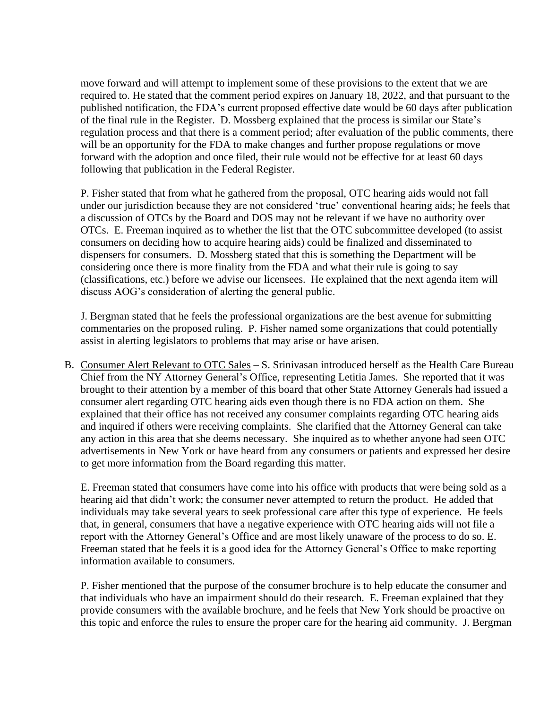move forward and will attempt to implement some of these provisions to the extent that we are required to. He stated that the comment period expires on January 18, 2022, and that pursuant to the published notification, the FDA's current proposed effective date would be 60 days after publication of the final rule in the Register. D. Mossberg explained that the process is similar our State's regulation process and that there is a comment period; after evaluation of the public comments, there will be an opportunity for the FDA to make changes and further propose regulations or move forward with the adoption and once filed, their rule would not be effective for at least 60 days following that publication in the Federal Register.

P. Fisher stated that from what he gathered from the proposal, OTC hearing aids would not fall under our jurisdiction because they are not considered 'true' conventional hearing aids; he feels that a discussion of OTCs by the Board and DOS may not be relevant if we have no authority over OTCs. E. Freeman inquired as to whether the list that the OTC subcommittee developed (to assist consumers on deciding how to acquire hearing aids) could be finalized and disseminated to dispensers for consumers. D. Mossberg stated that this is something the Department will be considering once there is more finality from the FDA and what their rule is going to say (classifications, etc.) before we advise our licensees. He explained that the next agenda item will discuss AOG's consideration of alerting the general public.

J. Bergman stated that he feels the professional organizations are the best avenue for submitting commentaries on the proposed ruling. P. Fisher named some organizations that could potentially assist in alerting legislators to problems that may arise or have arisen.

B. Consumer Alert Relevant to OTC Sales – S. Srinivasan introduced herself as the Health Care Bureau Chief from the NY Attorney General's Office, representing Letitia James. She reported that it was brought to their attention by a member of this board that other State Attorney Generals had issued a consumer alert regarding OTC hearing aids even though there is no FDA action on them. She explained that their office has not received any consumer complaints regarding OTC hearing aids and inquired if others were receiving complaints. She clarified that the Attorney General can take any action in this area that she deems necessary. She inquired as to whether anyone had seen OTC advertisements in New York or have heard from any consumers or patients and expressed her desire to get more information from the Board regarding this matter.

E. Freeman stated that consumers have come into his office with products that were being sold as a hearing aid that didn't work; the consumer never attempted to return the product. He added that individuals may take several years to seek professional care after this type of experience. He feels that, in general, consumers that have a negative experience with OTC hearing aids will not file a report with the Attorney General's Office and are most likely unaware of the process to do so. E. Freeman stated that he feels it is a good idea for the Attorney General's Office to make reporting information available to consumers.

P. Fisher mentioned that the purpose of the consumer brochure is to help educate the consumer and that individuals who have an impairment should do their research. E. Freeman explained that they provide consumers with the available brochure, and he feels that New York should be proactive on this topic and enforce the rules to ensure the proper care for the hearing aid community. J. Bergman